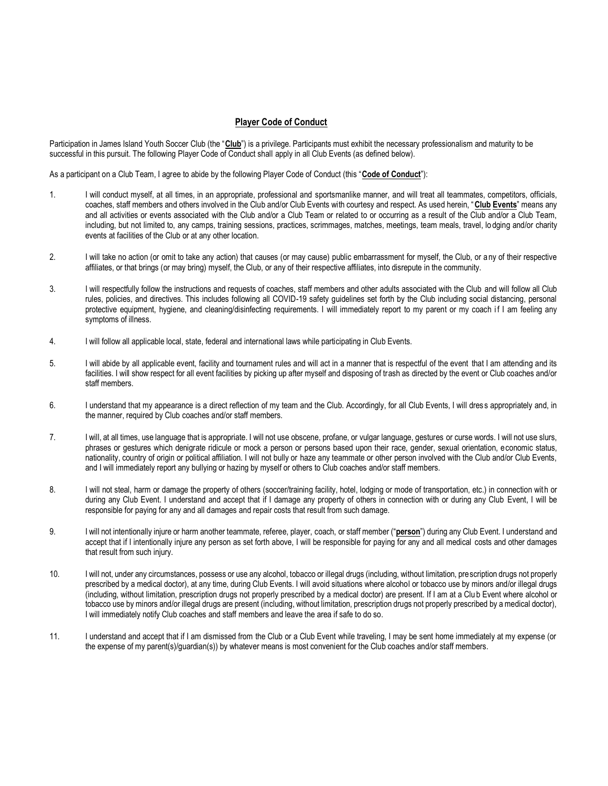## **Player Code of Conduct**

Participation in James Island Youth Soccer Club (the "Club") is a privilege. Participants must exhibit the necessary professionalism and maturity to be successful in this pursuit. The following Player Code of Conduct shall apply in all Club Events (as defined below).

As a participant on a Club Team, I agree to abide by the following Player Code of Conduct (this "**Code of Conduct**"):

- 1. I will conduct myself, at all times, in an appropriate, professional and sportsmanlike manner, and will treat all teammates, competitors, officials, coaches, staff members and others involved in the Club and/or Club Events with courtesy and respect. As used herein, "**Club Events**" means any and all activities or events associated with the Club and/or a Club Team or related to or occurring as a result of the Club and/or a Club Team, including, but not limited to, any camps, training sessions, practices, scrimmages, matches, meetings, team meals, travel, lo dging and/or charity events at facilities of the Club or at any other location.
- 2. I will take no action (or omit to take any action) that causes (or may cause) public embarrassment for myself, the Club, or a ny of their respective affiliates, or that brings (or may bring) myself, the Club, or any of their respective affiliates, into disrepute in the community.
- 3. I will respectfully follow the instructions and requests of coaches, staff members and other adults associated with the Club and will follow all Club rules, policies, and directives. This includes following all COVID-19 safety guidelines set forth by the Club including social distancing, personal protective equipment, hygiene, and cleaning/disinfecting requirements. I will immediately report to my parent or my coach if I am feeling any symptoms of illness.
- 4. I will follow all applicable local, state, federal and international laws while participating in Club Events.
- 5. I will abide by all applicable event, facility and tournament rules and will act in a manner that is respectful of the event that I am attending and its facilities. I will show respect for all event facilities by picking up after myself and disposing of trash as directed by the event or Club coaches and/or staff members.
- 6. I understand that my appearance is a direct reflection of my team and the Club. Accordingly, for all Club Events, I will dres s appropriately and, in the manner, required by Club coaches and/or staff members.
- 7. I will, at all times, use language that is appropriate. I will not use obscene, profane, or vulgar language, gestures or curse words. I will not use slurs, phrases or gestures which denigrate ridicule or mock a person or persons based upon their race, gender, sexual orientation, economic status, nationality, country of origin or political affiliation. I will not bully or haze any teammate or other person involved with the Club and/or Club Events, and I will immediately report any bullying or hazing by myself or others to Club coaches and/or staff members.
- 8. I will not steal, harm or damage the property of others (soccer/training facility, hotel, lodging or mode of transportation, etc.) in connection with or during any Club Event. I understand and accept that if I damage any property of others in connection with or during any Club Event, I will be responsible for paying for any and all damages and repair costs that result from such damage.
- 9. I will not intentionally injure or harm another teammate, referee, player, coach, or staff member ("**person**") during any Club Event. I understand and accept that if I intentionally injure any person as set forth above, I will be responsible for paying for any and all medical costs and other damages that result from such injury.
- 10. I will not, under any circumstances, possess or use any alcohol, tobacco or illegal drugs (including, without limitation, prescription drugs not properly prescribed by a medical doctor), at any time, during Club Events. I will avoid situations where alcohol or tobacco use by minors and/or illegal drugs (including, without limitation, prescription drugs not properly prescribed by a medical doctor) are present. If I am at a Clu b Event where alcohol or tobacco use by minors and/or illegal drugs are present (including, without limitation, prescription drugs not properly prescribed by a medical doctor), I will immediately notify Club coaches and staff members and leave the area if safe to do so.
- 11. I understand and accept that if I am dismissed from the Club or a Club Event while traveling, I may be sent home immediately at my expense (or the expense of my parent(s)/guardian(s)) by whatever means is most convenient for the Club coaches and/or staff members.